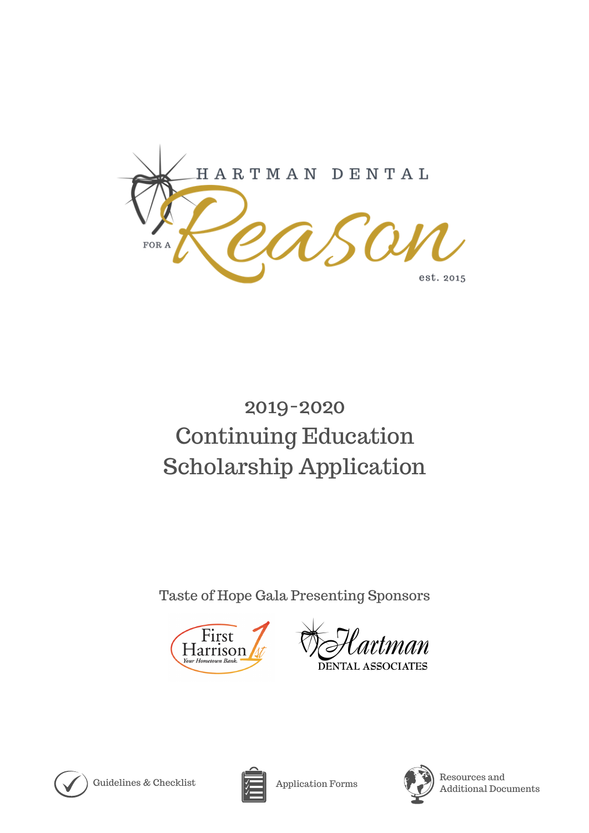

# 2019-2020 Continuing Education Scholarship Application

Taste of Hope Gala Presenting Sponsors



man DENTAL ASSOCIATES



Guidelines & Checklist  $\sqrt{\phantom{a}}\phantom{a}$  Application Forms





Resources and Additional Documents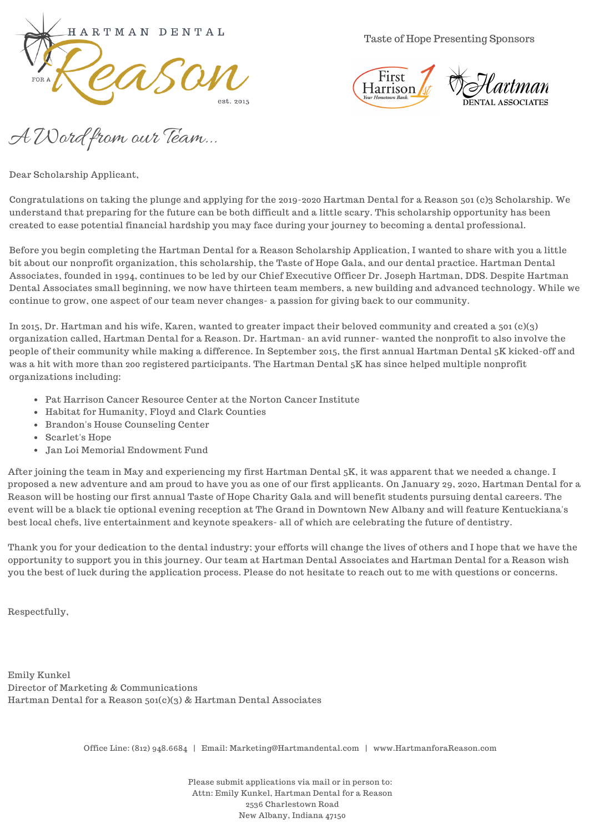

Taste of Hope Presenting Sponsors



A Word from our Team...

Dear Scholarship Applicant,

Congratulations on taking the plunge and applying for the 2019-2020 Hartman Dental for a Reason 501 (c)3 Scholarship. We understand that preparing for the future can be both difficult and a little scary. This scholarship opportunity has been created to ease potential financial hardship you may face during your journey to becoming a dental professional.

Before you begin completing the Hartman Dental for a Reason Scholarship Application, I wanted to share with you a little bit about our nonprofit organization, this scholarship, the Taste of Hope Gala, and our dental practice. Hartman Dental Associates, founded in 1994, continues to be led by our Chief Executive Officer Dr. Joseph Hartman, DDS. Despite Hartman Dental Associates small beginning, we now have thirteen team members, a new building and advanced technology. While we continue to grow, one aspect of our team never changes- a passion for giving back to our community.

In 2015, Dr. Hartman and his wife, Karen, wanted to greater impact their beloved community and created a 501 (c)(3) organization called, Hartman Dental for a Reason. Dr. Hartman- an avid runner- wanted the nonprofit to also involve the people of their community while making a difference. In September 2015, the first annual Hartman Dental 5K kicked-off and was a hit with more than 200 registered participants. The Hartman Dental 5K has since helped multiple nonprofit organizations including:

- Pat Harrison Cancer Resource Center at the Norton Cancer Institute
- Habitat for Humanity, Floyd and Clark Counties
- Brandon's House Counseling Center
- Scarlet's Hope
- Jan Loi Memorial Endowment Fund

After joining the team in May and experiencing my first Hartman Dental 5K, it was apparent that we needed a change. I proposed a new adventure and am proud to have you as one of our first applicants. On January 29, 2020, Hartman Dental for a Reason will be hosting our first annual Taste of Hope Charity Gala and will benefit students pursuing dental careers. The event will be a black tie optional evening reception at The Grand in Downtown New Albany and will feature Kentuckiana's best local chefs, live entertainment and keynote speakers- all of which are celebrating the future of dentistry.

Thank you for your dedication to the dental industry; your efforts will change the lives of others and I hope that we have the opportunity to support you in this journey. Our team at Hartman Dental Associates and Hartman Dental for a Reason wish you the best of luck during the application process. Please do not hesitate to reach out to me with questions or concerns.

Respectfully,

Emily Kunkel Director of Marketing & Communications Hartman Dental for a Reason 501(c)(3) & Hartman Dental Associates

Office Line: (812) 948.6684 | Email: Marketing@Hartmandental.com | www.HartmanforaReason.com

Please submit applications via mail or in person to: Attn: Emily Kunkel, Hartman Dental for a Reason 2536 Charlestown Road New Albany, Indiana 47150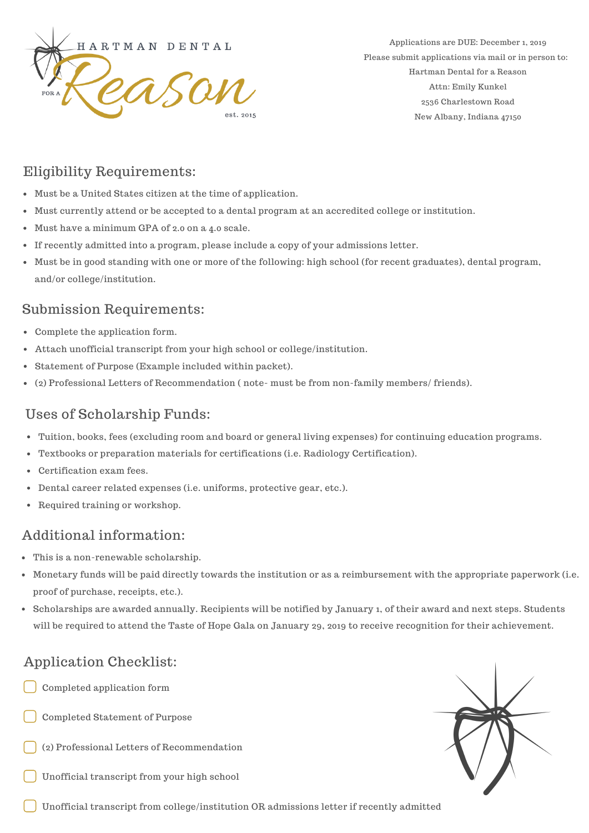

Applications are DUE: December 1, 2019 Please submit applications via mail or in person to: Hartman Dental for a Reason Attn: Emily Kunkel 2536 Charlestown Road New Albany, Indiana 47150

# Eligibility Requirements:

- Must be a United States citizen at the time of application.
- Must currently attend or be accepted to a dental program at an accredited college or institution.
- Must have a minimum GPA of 2.0 on a 4.0 scale.
- If recently admitted into a program, please include a copy of your admissions letter.
- Must be in good standing with one or more of the following: high school (for recent graduates), dental program, and/or college/institution.

#### Submission Requirements:

- Complete the application form.
- Attach unofficial transcript from your high school or college/institution.
- Statement of Purpose (Example included within packet).
- (2) Professional Letters of Recommendation ( note- must be from non-family members/ friends).

# Uses of Scholarship Funds:

- Tuition, books, fees (excluding room and board or general living expenses) for continuing education programs.
- Textbooks or preparation materials for certifications (i.e. Radiology Certification).  $\bullet$
- Certification exam fees.
- Dental career related expenses (i.e. uniforms, protective gear, etc.).
- Required training or workshop.

# Additional information:

- This is a non-renewable scholarship.
- Monetary funds will be paid directly towards the institution or as a reimbursement with the appropriate paperwork (i.e. proof of purchase, receipts, etc.).
- Scholarships are awarded annually. Recipients will be notified by January 1, of their award and next steps. Students will be required to attend the Taste of Hope Gala on January 29, 2019 to receive recognition for their achievement.

# Application Checklist:

- Completed application form
- Completed Statement of Purpose
- (2) Professional Letters of Recommendation
- Unofficial transcript from your high school



Unofficial transcript from college/institution OR admissions letter if recently admitted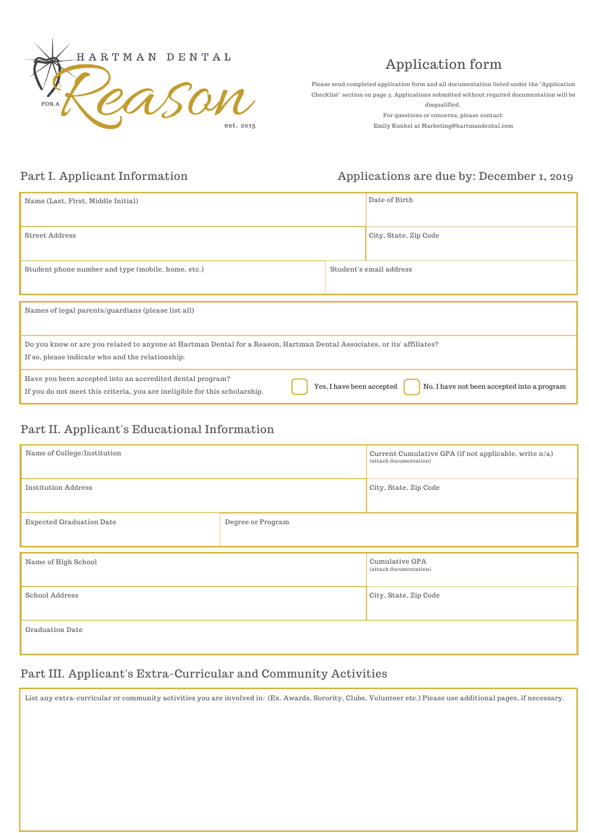

# Application form

Please send completed application form and all documentation listed under the "Application Checklist" section on page 3. Applications submitted without required documentation will be disqualified.

For questions or concerns, please contact: Emily Kunkel at Marketing@hartmandental.com

#### Part I. Applicant Information

#### Applications are due by: December 1, 2019

| Name (Last, First, Middle Initial)                                                                                                      |                           | Date of Birth                               |  |  |
|-----------------------------------------------------------------------------------------------------------------------------------------|---------------------------|---------------------------------------------|--|--|
| <b>Street Address</b>                                                                                                                   |                           | City, State, Zip Code                       |  |  |
| Student phone number and type (mobile, home, etc.)                                                                                      |                           | Student's email address                     |  |  |
|                                                                                                                                         |                           |                                             |  |  |
| Names of legal parents/guardians (please list all)                                                                                      |                           |                                             |  |  |
| Do you know or are you related to anyone at Hartman Dental for a Reason, Hartman Dental Associates, or its' affiliates?                 |                           |                                             |  |  |
| If so, please indicate who and the relationship:                                                                                        |                           |                                             |  |  |
| Have you been accepted into an accredited dental program?<br>If you do not meet this criteria, you are ineligible for this scholarship. | Yes, I have been accepted | No, I have not been accepted into a program |  |  |

#### Part II. Applicant's Educational Information

| Name of College/Institution     |                   | Current Cumulative GPA (if not applicable, write n/a)<br>(attach documentation) |
|---------------------------------|-------------------|---------------------------------------------------------------------------------|
| <b>Institution Address</b>      |                   | City, State, Zip Code                                                           |
| <b>Expected Graduation Date</b> | Degree or Program |                                                                                 |
| Name of High School             |                   | <b>Cumulative GPA</b><br>(attach documentation)                                 |
| School Address                  |                   | City, State, Zip Code                                                           |
| Graduation Date                 |                   |                                                                                 |

#### Part III. Applicant's Extra-Curricular and Community Activities

List any extra-curricular or community activities you are involved in: (Ex. Awards, Sorority, Clubs, Volunteer etc.) Please use additional pages, if necessary.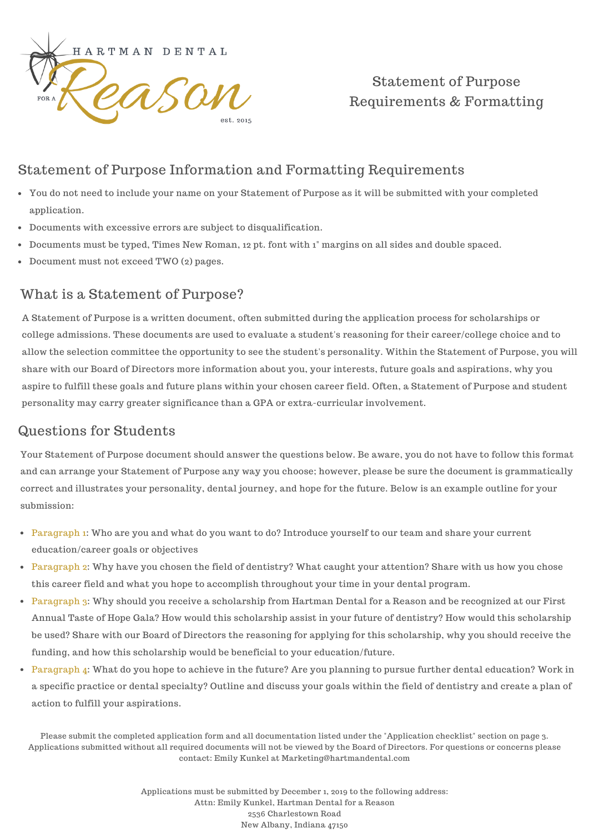

# Statement of Purpose Requirements & Formatting

# Statement of Purpose Information and Formatting Requirements

- You do not need to include your name on your Statement of Purpose as it will be submitted with your completed application.
- Documents with excessive errors are subject to disqualification.
- Documents must be typed, Times New Roman, 12 pt. font with 1" margins on all sides and double spaced.
- Document must not exceed TWO (2) pages.

### What is a Statement of Purpose?

A Statement of Purpose is a written document, often submitted during the application process for scholarships or college admissions. These documents are used to evaluate a student's reasoning for their career/college choice and to allow the selection committee the opportunity to see the student's personality. Within the Statement of Purpose, you will share with our Board of Directors more information about you, your interests, future goals and aspirations, why you aspire to fulfill these goals and future plans within your chosen career field. Often, a Statement of Purpose and student personality may carry greater significance than a GPA or extra-curricular involvement.

#### Questions for Students

Your Statement of Purpose document should answer the questions below. Be aware, you do not have to follow this format and can arrange your Statement of Purpose any way you choose; however, please be sure the document is grammatically correct and illustrates your personality, dental journey, and hope for the future. Below is an example outline for your submission:

- Paragraph 1: Who are you and what do you want to do? Introduce yourself to our team and share your current education/career goals or objectives
- Paragraph 2: Why have you chosen the field of dentistry? What caught your attention? Share with us how you chose this career field and what you hope to accomplish throughout your time in your dental program.
- Paragraph 3: Why should you receive a scholarship from Hartman Dental for a Reason and be recognized at our First Annual Taste of Hope Gala? How would this scholarship assist in your future of dentistry? How would this scholarship be used? Share with our Board of Directors the reasoning for applying for this scholarship, why you should receive the funding, and how this scholarship would be beneficial to your education/future.
- Paragraph 4: What do you hope to achieve in the future? Are you planning to pursue further dental education? Work in a specific practice or dental specialty? Outline and discuss your goals within the field of dentistry and create a plan of action to fulfill your aspirations.

Please submit the completed application form and all documentation listed under the "Application checklist" section on page 3. Applications submitted without all required documents will not be viewed by the Board of Directors. For questions or concerns please contact: Emily Kunkel at Marketing@hartmandental.com